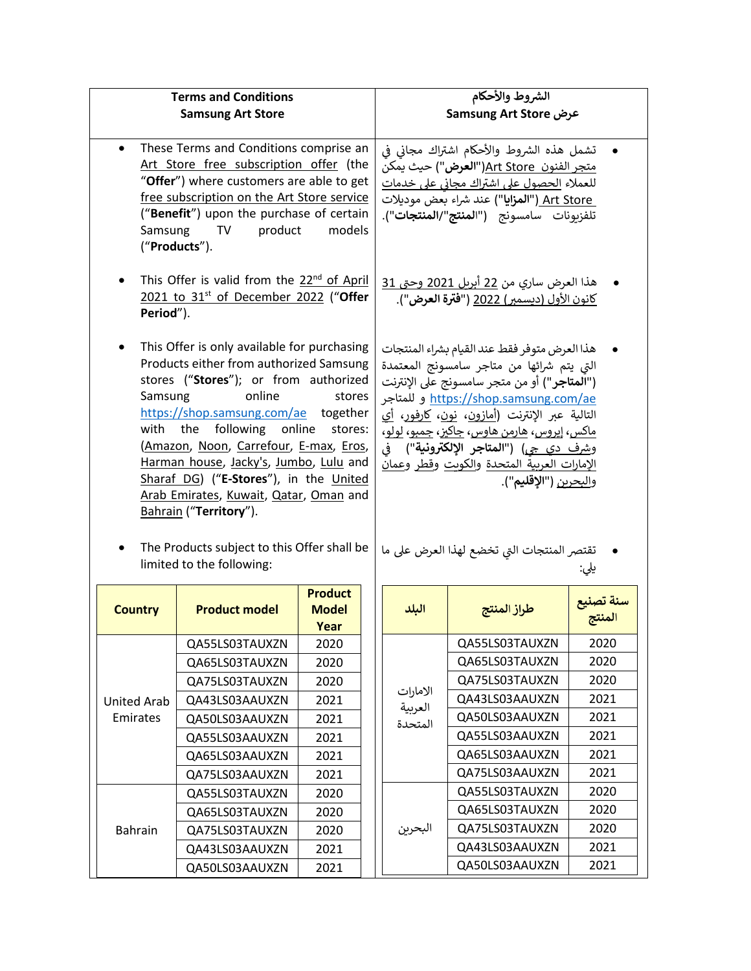| <b>Terms and Conditions</b>                                                                                                                                                                                                                                                                                                                                                                                                                                                                                                        |                      |                                        | الشروط والأحكام                                                                                                                                                                                                                                                                                                                                                                                                                                                                                                    |                |                     |
|------------------------------------------------------------------------------------------------------------------------------------------------------------------------------------------------------------------------------------------------------------------------------------------------------------------------------------------------------------------------------------------------------------------------------------------------------------------------------------------------------------------------------------|----------------------|----------------------------------------|--------------------------------------------------------------------------------------------------------------------------------------------------------------------------------------------------------------------------------------------------------------------------------------------------------------------------------------------------------------------------------------------------------------------------------------------------------------------------------------------------------------------|----------------|---------------------|
| <b>Samsung Art Store</b>                                                                                                                                                                                                                                                                                                                                                                                                                                                                                                           |                      |                                        | عرض Samsung Art Store                                                                                                                                                                                                                                                                                                                                                                                                                                                                                              |                |                     |
| These Terms and Conditions comprise an<br>$\bullet$<br>Art Store free subscription offer (the<br>"Offer") where customers are able to get<br>free subscription on the Art Store service<br>("Benefit") upon the purchase of certain<br>Samsung<br>TV product<br>models<br>("Products").                                                                                                                                                                                                                                            |                      |                                        | تشمل هذه الشروط والأحكام اشتراك مجاني في<br><u>متجر الفنون  Art Store("ا<b>لعرض</b>")</u> حيث يمكن<br>للعملاء الحصول على اشتراك مجاني على خدمات<br>Art Store ("المزايا") عند شراء بعض موديلات<br>تلفزبونات سامسونج ("ا <b>لمنتج"/المنتجات")</b> .                                                                                                                                                                                                                                                                  |                |                     |
| This Offer is valid from the 22 <sup>nd</sup> of April<br>2021 to 31 <sup>st</sup> of December 2022 ("Offer<br>Period").                                                                                                                                                                                                                                                                                                                                                                                                           |                      |                                        | هذا العرض ساري من <u>22</u> أبريل <u>2021 وحتى 31</u><br>كانون الأول (ديسمبر) 2022 (" <b>فترة العرض</b> ").                                                                                                                                                                                                                                                                                                                                                                                                        |                |                     |
| This Offer is only available for purchasing<br>Products either from authorized Samsung<br>stores ("Stores"); or from authorized<br>online<br>Samsung<br>stores<br>https://shop.samsung.com/ae together<br>following online<br>with<br>the<br>stores:<br>(Amazon, Noon, Carrefour, E-max, Eros,<br>Harman house, Jacky's, Jumbo, Lulu and<br>Sharaf DG) ("E-Stores"), in the United<br>Arab Emirates, Kuwait, Qatar, Oman and<br>Bahrain ("Territory").<br>The Products subject to this Offer shall be<br>limited to the following: |                      |                                        | هذا العرض متوفر فقط عند القيام بشراء المنتجات<br>التي يتم شرائها من متاجر سامسونج المعتمدة<br>(" <b>المتاجر</b> ") أو من متجر سامسونج على الإنترنت<br><u>https://shop.samsung.com/ae و</u> للمتاجر<br>التالية عبر الإنترنت ( <u>أمازون</u> ، <u>نون، كارفور، أي</u><br><u>ماکس، ايروس، هارمن هاوس، جاکيز، جمبو، لولو،</u><br>وشرف دي جي) ("المتا <b>ج</b> ر الإلكترونية")  في<br><u>الإمارات العربية المتحدة والكوىت وقطر وعمان</u><br>والبحرين ("الإقليم").<br>تقتصر المنتجات التي تخضع لهذا العرض على ما<br>يلي: |                |                     |
| <b>Country</b>                                                                                                                                                                                                                                                                                                                                                                                                                                                                                                                     | <b>Product model</b> | <b>Product</b><br><b>Model</b><br>Year | البلد                                                                                                                                                                                                                                                                                                                                                                                                                                                                                                              | طراز المنتج    | سنة تصنيع<br>المنتج |
|                                                                                                                                                                                                                                                                                                                                                                                                                                                                                                                                    | QA55LS03TAUXZN       | 2020                                   |                                                                                                                                                                                                                                                                                                                                                                                                                                                                                                                    | QA55LS03TAUXZN | 2020                |
|                                                                                                                                                                                                                                                                                                                                                                                                                                                                                                                                    | QA65LS03TAUXZN       | 2020                                   |                                                                                                                                                                                                                                                                                                                                                                                                                                                                                                                    | QA65LS03TAUXZN | 2020                |
|                                                                                                                                                                                                                                                                                                                                                                                                                                                                                                                                    | QA75LS03TAUXZN       | 2020                                   |                                                                                                                                                                                                                                                                                                                                                                                                                                                                                                                    | QA75LS03TAUXZN | 2020                |
| <b>United Arab</b>                                                                                                                                                                                                                                                                                                                                                                                                                                                                                                                 | QA43LS03AAUXZN       | 2021                                   | الامارات<br>العربية                                                                                                                                                                                                                                                                                                                                                                                                                                                                                                | QA43LS03AAUXZN | 2021                |
| Emirates                                                                                                                                                                                                                                                                                                                                                                                                                                                                                                                           | QA50LS03AAUXZN       | 2021                                   | المتحدة                                                                                                                                                                                                                                                                                                                                                                                                                                                                                                            | QA50LS03AAUXZN | 2021                |
|                                                                                                                                                                                                                                                                                                                                                                                                                                                                                                                                    | QA55LS03AAUXZN       | 2021                                   |                                                                                                                                                                                                                                                                                                                                                                                                                                                                                                                    | QA55LS03AAUXZN | 2021                |
|                                                                                                                                                                                                                                                                                                                                                                                                                                                                                                                                    | QA65LS03AAUXZN       | 2021                                   |                                                                                                                                                                                                                                                                                                                                                                                                                                                                                                                    | QA65LS03AAUXZN | 2021                |
|                                                                                                                                                                                                                                                                                                                                                                                                                                                                                                                                    | QA75LS03AAUXZN       | 2021                                   |                                                                                                                                                                                                                                                                                                                                                                                                                                                                                                                    | QA75LS03AAUXZN | 2021                |
|                                                                                                                                                                                                                                                                                                                                                                                                                                                                                                                                    | QA55LS03TAUXZN       | 2020                                   |                                                                                                                                                                                                                                                                                                                                                                                                                                                                                                                    | QA55LS03TAUXZN | 2020                |
|                                                                                                                                                                                                                                                                                                                                                                                                                                                                                                                                    | QA65LS03TAUXZN       | 2020                                   |                                                                                                                                                                                                                                                                                                                                                                                                                                                                                                                    | QA65LS03TAUXZN | 2020                |
| Bahrain                                                                                                                                                                                                                                                                                                                                                                                                                                                                                                                            | QA75LS03TAUXZN       | 2020                                   | البحرين                                                                                                                                                                                                                                                                                                                                                                                                                                                                                                            | QA75LS03TAUXZN | 2020                |
|                                                                                                                                                                                                                                                                                                                                                                                                                                                                                                                                    | QA43LS03AAUXZN       | 2021                                   |                                                                                                                                                                                                                                                                                                                                                                                                                                                                                                                    | QA43LS03AAUXZN | 2021                |
|                                                                                                                                                                                                                                                                                                                                                                                                                                                                                                                                    | QA50LS03AAUXZN       | 2021                                   |                                                                                                                                                                                                                                                                                                                                                                                                                                                                                                                    | QA50LS03AAUXZN | 2021                |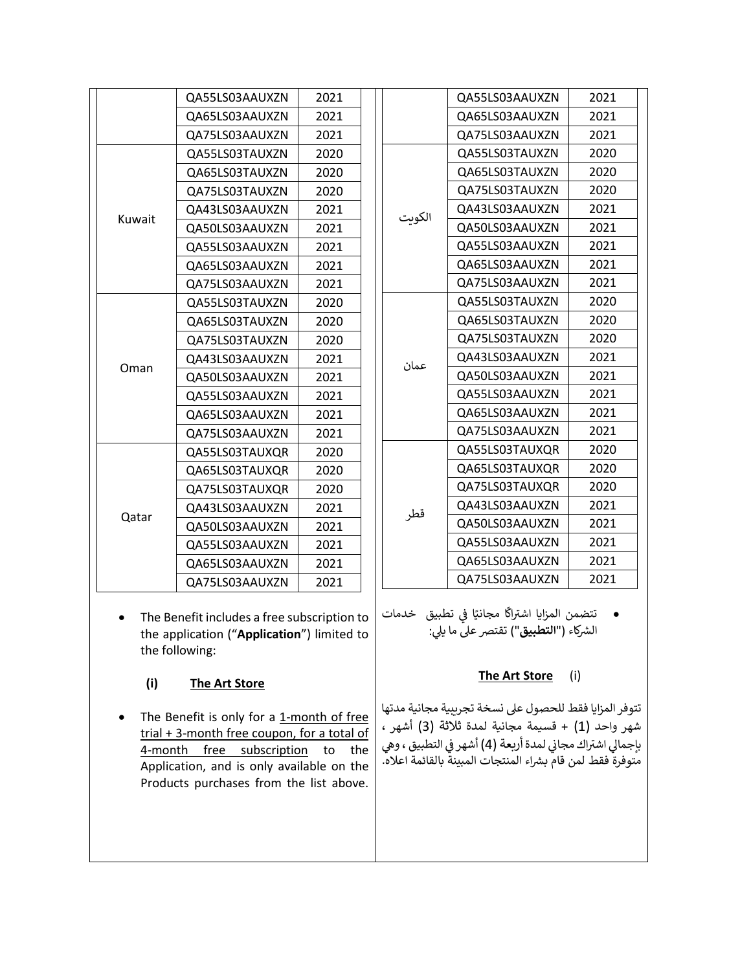| QA65LS03AAUXZN<br>2021<br>2021<br>OA75LS03AAUXZN<br>QA55LS03TAUXZN<br>2020<br>OA65LS03TAUXZN<br>2020<br>QA75LS03TAUXZN<br>2020<br>2021<br>QA43LS03AAUXZN<br>الكويت<br>Kuwait<br>QA50LS03AAUXZN<br>2021<br>QA55LS03AAUXZN<br>2021<br>QA65LS03AAUXZN<br>2021<br>2021<br>QA75LS03AAUXZN<br>2020<br>QA55LS03TAUXZN<br>QA65LS03TAUXZN<br>2020<br>2020<br>OA75LS03TAUXZN<br>QA43LS03AAUXZN<br>2021<br>عمان<br>Oman<br>2021<br>QA50LS03AAUXZN<br>QA55LS03AAUXZN<br>2021<br>2021<br>QA65LS03AAUXZN<br>QA75LS03AAUXZN<br>2021<br>QA55LS03TAUXQR<br>2020<br>QA65LS03TAUXQR<br>2020<br>QA75LS03TAUXQR<br>2020<br>QA43LS03AAUXZN<br>2021<br>قطر<br>Qatar<br>2021<br>QA50LS03AAUXZN<br>QA55LS03AAUXZN<br>2021<br>QA65LS03AAUXZN<br>2021<br>QA75LS03AAUXZN<br>2021 |  | QA55LS03AAUXZN | 2021 |  |  |  |
|------------------------------------------------------------------------------------------------------------------------------------------------------------------------------------------------------------------------------------------------------------------------------------------------------------------------------------------------------------------------------------------------------------------------------------------------------------------------------------------------------------------------------------------------------------------------------------------------------------------------------------------------------------------------------------------------------------------------------------------------------|--|----------------|------|--|--|--|
|                                                                                                                                                                                                                                                                                                                                                                                                                                                                                                                                                                                                                                                                                                                                                      |  |                |      |  |  |  |
|                                                                                                                                                                                                                                                                                                                                                                                                                                                                                                                                                                                                                                                                                                                                                      |  |                |      |  |  |  |
|                                                                                                                                                                                                                                                                                                                                                                                                                                                                                                                                                                                                                                                                                                                                                      |  |                |      |  |  |  |
|                                                                                                                                                                                                                                                                                                                                                                                                                                                                                                                                                                                                                                                                                                                                                      |  |                |      |  |  |  |
|                                                                                                                                                                                                                                                                                                                                                                                                                                                                                                                                                                                                                                                                                                                                                      |  |                |      |  |  |  |
|                                                                                                                                                                                                                                                                                                                                                                                                                                                                                                                                                                                                                                                                                                                                                      |  |                |      |  |  |  |
|                                                                                                                                                                                                                                                                                                                                                                                                                                                                                                                                                                                                                                                                                                                                                      |  |                |      |  |  |  |
|                                                                                                                                                                                                                                                                                                                                                                                                                                                                                                                                                                                                                                                                                                                                                      |  |                |      |  |  |  |
|                                                                                                                                                                                                                                                                                                                                                                                                                                                                                                                                                                                                                                                                                                                                                      |  |                |      |  |  |  |
|                                                                                                                                                                                                                                                                                                                                                                                                                                                                                                                                                                                                                                                                                                                                                      |  |                |      |  |  |  |
|                                                                                                                                                                                                                                                                                                                                                                                                                                                                                                                                                                                                                                                                                                                                                      |  |                |      |  |  |  |
|                                                                                                                                                                                                                                                                                                                                                                                                                                                                                                                                                                                                                                                                                                                                                      |  |                |      |  |  |  |
|                                                                                                                                                                                                                                                                                                                                                                                                                                                                                                                                                                                                                                                                                                                                                      |  |                |      |  |  |  |
|                                                                                                                                                                                                                                                                                                                                                                                                                                                                                                                                                                                                                                                                                                                                                      |  |                |      |  |  |  |
|                                                                                                                                                                                                                                                                                                                                                                                                                                                                                                                                                                                                                                                                                                                                                      |  |                |      |  |  |  |
|                                                                                                                                                                                                                                                                                                                                                                                                                                                                                                                                                                                                                                                                                                                                                      |  |                |      |  |  |  |
|                                                                                                                                                                                                                                                                                                                                                                                                                                                                                                                                                                                                                                                                                                                                                      |  |                |      |  |  |  |
|                                                                                                                                                                                                                                                                                                                                                                                                                                                                                                                                                                                                                                                                                                                                                      |  |                |      |  |  |  |
|                                                                                                                                                                                                                                                                                                                                                                                                                                                                                                                                                                                                                                                                                                                                                      |  |                |      |  |  |  |
|                                                                                                                                                                                                                                                                                                                                                                                                                                                                                                                                                                                                                                                                                                                                                      |  |                |      |  |  |  |
|                                                                                                                                                                                                                                                                                                                                                                                                                                                                                                                                                                                                                                                                                                                                                      |  |                |      |  |  |  |
|                                                                                                                                                                                                                                                                                                                                                                                                                                                                                                                                                                                                                                                                                                                                                      |  |                |      |  |  |  |
|                                                                                                                                                                                                                                                                                                                                                                                                                                                                                                                                                                                                                                                                                                                                                      |  |                |      |  |  |  |
|                                                                                                                                                                                                                                                                                                                                                                                                                                                                                                                                                                                                                                                                                                                                                      |  |                |      |  |  |  |
|                                                                                                                                                                                                                                                                                                                                                                                                                                                                                                                                                                                                                                                                                                                                                      |  |                |      |  |  |  |
|                                                                                                                                                                                                                                                                                                                                                                                                                                                                                                                                                                                                                                                                                                                                                      |  |                |      |  |  |  |

• The Benefit includes a free subscription to the application ("**Application**") limited to the following:

## **(i) The Art Store**

• The Benefit is only for a 1-month of free trial + 3-month free coupon, for a total of 4-month free subscription to the Application, and is only available on the Products purchases from the list above.

|        | QA55LS03AAUXZN | 2021 |
|--------|----------------|------|
|        | OA65LS03AAUXZN | 2021 |
|        | QA75LS03AAUXZN | 2021 |
|        | QA55LS03TAUXZN | 2020 |
|        | QA65LS03TAUXZN | 2020 |
|        | OA75LS03TAUXZN | 2020 |
|        | QA43LS03AAUXZN | 2021 |
| الكويت | QA50LS03AAUXZN | 2021 |
|        | QA55LS03AAUXZN | 2021 |
|        | QA65LS03AAUXZN | 2021 |
|        | QA75LS03AAUXZN | 2021 |
|        | QA55LS03TAUXZN | 2020 |
|        | OA65LS03TAUXZN | 2020 |
|        | QA75LS03TAUXZN | 2020 |
| عمان   | QA43LS03AAUXZN | 2021 |
|        | QA50LS03AAUXZN | 2021 |
|        | QA55LS03AAUXZN | 2021 |
|        | QA65LS03AAUXZN | 2021 |
|        | QA75LS03AAUXZN | 2021 |
|        | QA55LS03TAUXQR | 2020 |
|        | QA65LS03TAUXQR | 2020 |
|        | QA75LS03TAUXQR | 2020 |
| قطر    | QA43LS03AAUXZN | 2021 |
|        | QA50LS03AAUXZN | 2021 |
|        | QA55LS03AAUXZN | 2021 |
|        | QA65LS03AAUXZN | 2021 |
|        | QA75LS03AAUXZN | 2021 |
|        |                |      |

● تتضمن المزايا اشتراكًا مجانيًا في تطبيق خدمات<br>سيد كويسيد في ֧֦֧֢֦֧֦֧֦֧֦֧֚֚֡֜֜֜֜֜֜ الشركاء<sup>ِ</sup> ("**التطبيق**") تقتصر على ما يلي:

## **The Art Store** (i)

تتوفر المزايا فقط للحصول عىل نسخة تجريبية مجانية مدتها شهر واحد (1) + قسيمة مجانية لمدة ثلاثة (3) أشهر ، بإجمالي اشتراك مجاني لمدة أربعة (4) أشهر في التطبيق ، وهي ي ي ֦֧֦֧֦֧֦֧֦֧֦֧֦֧֧֦֧֧֦֧֜֜֓֓֡֓֜֜֓֜֜ متوفرة فقط لمن قام بشراء المنتجات المبينة بالقائمة اعلاه.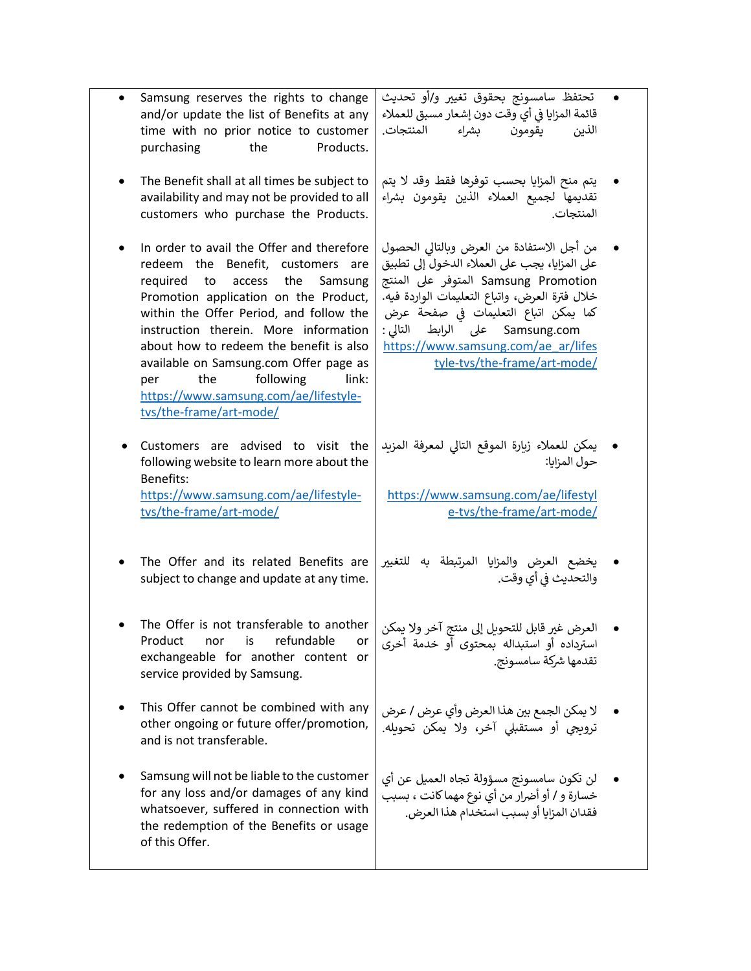| Samsung reserves the rights to change<br>and/or update the list of Benefits at any<br>time with no prior notice to customer<br>Products.<br>purchasing<br>the                                                                                                                                                                                                                                                                                          | تحتفظ سامسونج بحقوق تغيير و/أو تحديث<br>قائمة المزايا في أي وقت دون إشعار مسبق للعملاء<br>يقومون بشراء المنتجات.<br>الذين                                                                                                                                                                                                             |  |
|--------------------------------------------------------------------------------------------------------------------------------------------------------------------------------------------------------------------------------------------------------------------------------------------------------------------------------------------------------------------------------------------------------------------------------------------------------|---------------------------------------------------------------------------------------------------------------------------------------------------------------------------------------------------------------------------------------------------------------------------------------------------------------------------------------|--|
| The Benefit shall at all times be subject to<br>availability and may not be provided to all<br>customers who purchase the Products.                                                                                                                                                                                                                                                                                                                    | يتم منح المزايا بحسب توفرها فقط وقد لا يتم<br>تقديمها لجميع العملاء الذين يقومون بشراء<br>المنتجات.                                                                                                                                                                                                                                   |  |
| In order to avail the Offer and therefore<br>redeem the Benefit, customers are<br>required<br>the<br>Samsung<br>to<br>access<br>Promotion application on the Product,<br>within the Offer Period, and follow the<br>instruction therein. More information<br>about how to redeem the benefit is also<br>available on Samsung.com Offer page as<br>following<br>the<br>link:<br>per<br>https://www.samsung.com/ae/lifestyle-<br>tvs/the-frame/art-mode/ | من أجل الاستفادة من العرض وبالتالي الحصول<br>على المزايا، يجب على العملاء الدخول إلى تطبيق<br>Samsung Promotion المتوفر على المنتج<br>خلال فترة العرض، واتباع التعليمات الواردة فيه.<br>كما يمكن اتباع التعليمات في صفحة عرض<br>Samsung.com على الرابط التالي:<br>https://www.samsung.com/ae ar/lifes<br>tyle-tvs/the-frame/art-mode/ |  |
| Customers are advised to visit the<br>following website to learn more about the<br>Benefits:<br>https://www.samsung.com/ae/lifestyle-<br>tvs/the-frame/art-mode/                                                                                                                                                                                                                                                                                       | يمكن للعملاء زيارة الموقع التالي لمعرفة المزيد<br>حول المزايا:<br>https://www.samsung.com/ae/lifestyl<br>e-tvs/the-frame/art-mode/                                                                                                                                                                                                    |  |
| The Offer and its related Benefits are<br>subject to change and update at any time.                                                                                                                                                                                                                                                                                                                                                                    | يخضع العرض والمزايا المرتبطة به للتغيير<br>والتحديث في أي وقت.                                                                                                                                                                                                                                                                        |  |
| The Offer is not transferable to another<br>Product<br>nor<br>is<br>refundable<br>or<br>exchangeable for another content or<br>service provided by Samsung.                                                                                                                                                                                                                                                                                            | العرض غير قابل للتحويل إلى منتج آخر ولا يمكن<br>استرداده أو استبداله بمحتوى أو خدمة أخرى<br>تقدمها شركة سامسونج.                                                                                                                                                                                                                      |  |
| This Offer cannot be combined with any<br>other ongoing or future offer/promotion,<br>and is not transferable.                                                                                                                                                                                                                                                                                                                                         | لا يمكن الجمع بين هذا العرض وأي عرض / عرض<br>ترويجي أو مستقبلي آخر، ولا يمكن تحويله.                                                                                                                                                                                                                                                  |  |
| Samsung will not be liable to the customer<br>for any loss and/or damages of any kind<br>whatsoever, suffered in connection with<br>the redemption of the Benefits or usage<br>of this Offer.                                                                                                                                                                                                                                                          | لن تكون سامسونج مسؤولة تجاه العميل عن أي<br>خسارة و / أو أضرار من أي نوع مهما كانت ، بسبب<br>فقدان المزايا أو بسبب استخدام هذا العرض.                                                                                                                                                                                                 |  |